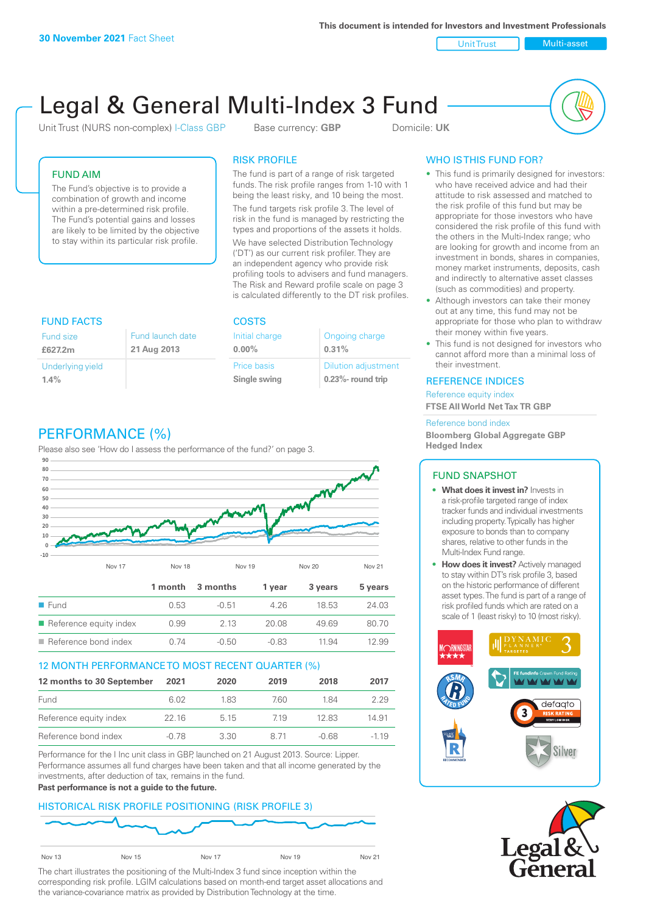**This document is intended for Investors and Investment Professionals**

Unit Trust Nulti-asset

# Legal & General Multi-Index 3 Fund

Unit Trust (NURS non-complex) I-Class GBP Base currency: **GBP** Domicile: UK



# FUND AIM

The Fund's objective is to provide a combination of growth and income within a pre-determined risk profile. The Fund's potential gains and losses are likely to be limited by the objective to stay within its particular risk profile.

## RISK PROFILE

The fund is part of a range of risk targeted funds. The risk profile ranges from 1-10 with 1 being the least risky, and 10 being the most.

The fund targets risk profile 3. The level of risk in the fund is managed by restricting the types and proportions of the assets it holds. We have selected Distribution Technology ('DT') as our current risk profiler. They are an independent agency who provide risk profiling tools to advisers and fund managers. The Risk and Reward profile scale on page 3 is calculated differently to the DT risk profiles.

| <b>FUND FACTS</b> |                  | <b>COSTS</b>   |                            |  |
|-------------------|------------------|----------------|----------------------------|--|
| <b>Fund size</b>  | Fund launch date | Initial charge | Ongoing charge             |  |
| £627.2m           | 21 Aug 2013      | $0.00\%$       | 0.31%                      |  |
| Underlying yield  |                  | Price basis    | <b>Dilution adjustment</b> |  |
| 1.4%              |                  | Single swing   | $0.23\%$ - round trip      |  |

# PERFORMANCE (%)

Please also see 'How do I assess the performance of the fund?' on page 3.



## 12 MONTH PERFORMANCE TO MOST RECENT QUARTER (%)

| 12 months to 30 September | 2021  | 2020  | 2019 | 2018  | 2017   |
|---------------------------|-------|-------|------|-------|--------|
| Fund                      | 6.02  | 183   | 760. | 184   | 229    |
| Reference equity index    | 22 16 | 5 1 5 | 719  | 12.83 | 14.91  |
| Reference bond index      | -0.78 | 3.30  | 8 71 | -0.68 | $-119$ |

Performance for the I Inc unit class in GBP, launched on 21 August 2013. Source: Lipper. Performance assumes all fund charges have been taken and that all income generated by the investments, after deduction of tax, remains in the fund.

#### **Past performance is not a guide to the future.**

## HISTORICAL RISK PROFILE POSITIONING (RISK PROFILE 3)



The chart illustrates the positioning of the Multi-Index 3 fund since inception within the corresponding risk profile. LGIM calculations based on month-end target asset allocations and the variance-covariance matrix as provided by Distribution Technology at the time.

# WHO IS THIS FUND FOR?

- This fund is primarily designed for investors: who have received advice and had their attitude to risk assessed and matched to the risk profile of this fund but may be appropriate for those investors who have considered the risk profile of this fund with the others in the Multi-Index range; who are looking for growth and income from an investment in bonds, shares in companies, money market instruments, deposits, cash and indirectly to alternative asset classes (such as commodities) and property.
- Although investors can take their money out at any time, this fund may not be appropriate for those who plan to withdraw their money within five years.
- This fund is not designed for investors who cannot afford more than a minimal loss of their investment.

### REFERENCE INDICES

Reference equity index **FTSE All World Net Tax TR GBP**

#### Reference bond index

**Bloomberg Global Aggregate GBP Hedged Index**

## FUND SNAPSHOT

- **• What does it invest in?** Invests in a risk-profile targeted range of index tracker funds and individual investments including property. Typically has higher exposure to bonds than to company shares, relative to other funds in the Multi-Index Fund range.
- **• How does it invest?** Actively managed to stay within DT's risk profile 3, based on the historic performance of different asset types. The fund is part of a range of risk profiled funds which are rated on a scale of 1 (least risky) to 10 (most risky).



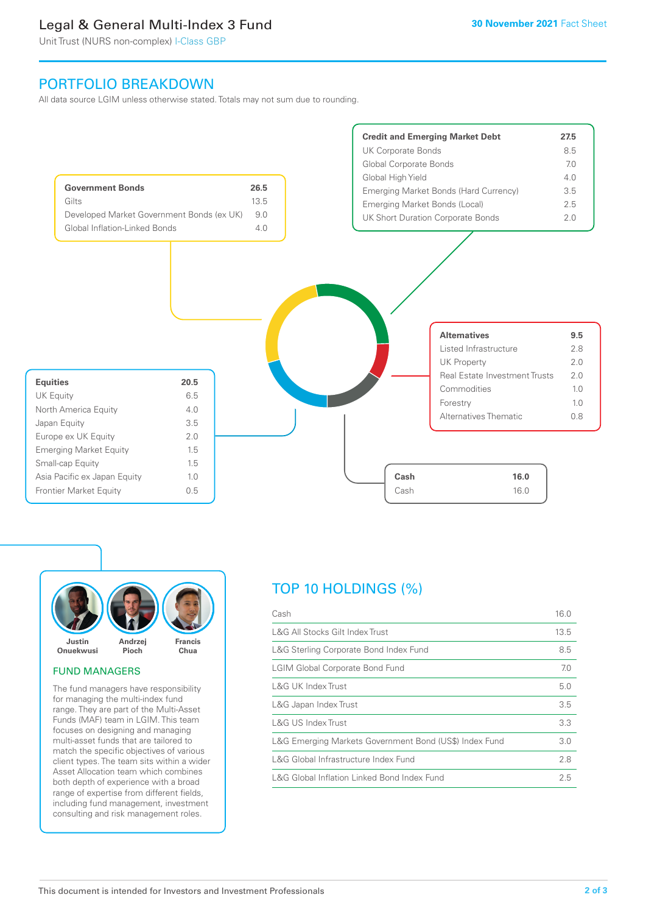# Legal & General Multi-Index 3 Fund

Unit Trust (NURS non-complex) I-Class GBP

# PORTFOLIO BREAKDOWN

All data source LGIM unless otherwise stated. Totals may not sum due to rounding.





### FUND MANAGERS

The fund managers have responsibility for managing the multi-index fund range. They are part of the Multi-Asset Funds (MAF) team in LGIM. This team focuses on designing and managing multi-asset funds that are tailored to match the specific objectives of various client types. The team sits within a wider Asset Allocation team which combines both depth of experience with a broad range of expertise from different fields, including fund management, investment consulting and risk management roles.

# TOP 10 HOLDINGS (%)

| Cash                                                   | 16.0 |
|--------------------------------------------------------|------|
| L&G All Stocks Gilt Index Trust                        | 13.5 |
| L&G Sterling Corporate Bond Index Fund                 | 8.5  |
| <b>LGIM Global Corporate Bond Fund</b>                 | 7.0  |
| L&G UK Index Trust                                     | 5.0  |
| L&G Japan Index Trust                                  | 3.5  |
| L&G US Index Trust                                     | 3.3  |
| L&G Emerging Markets Government Bond (US\$) Index Fund | 3.0  |
| L&G Global Infrastructure Index Fund                   | 2.8  |
| L&G Global Inflation Linked Bond Index Fund            | 2.5  |